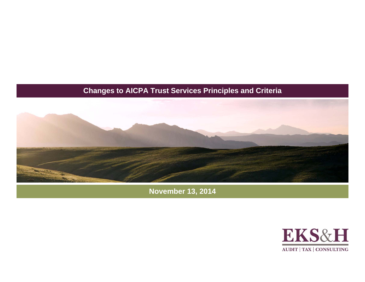#### **Changes to AICPA Trust Services Principles and Criteria**



**November 13, 2014**

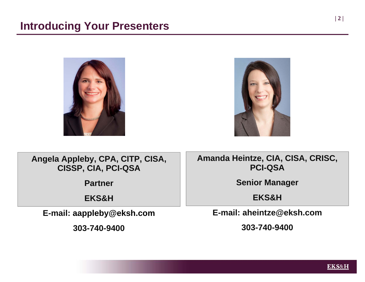



**Angela Appleby, CPA, CITP, CISA, CISSP, CIA, PCI-QSA**

**Partner**

**EKS&H** 

**E-mail: aappleby@eksh.com**

**303-740-9400**

**Amanda Heintze, CIA, CISA, CRISC, PCI-QSA**

**Senior Manager**

**EKS&H**

**E-mail: aheintze@eksh.com**

**303-740-9400**



**| 2 |**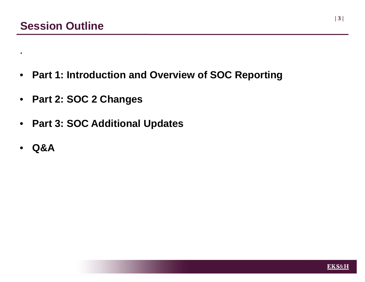- $\bullet$ **Part 1: Introduction and Overview of SOC Reporting**
- **Part 2: SOC 2 Changes**
- $\bullet$ **Part 3: SOC Additional Updates**
- $\bullet$ **Q&A**

.

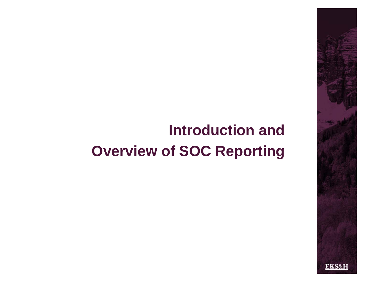# **Introduction and Overview of SOC Reporting**

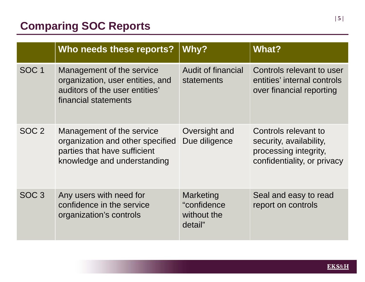## **Comparing SOC Reports**

|                  | Who needs these reports?                                                                                                     | Why?                                               | <b>What?</b>                                                                                            |
|------------------|------------------------------------------------------------------------------------------------------------------------------|----------------------------------------------------|---------------------------------------------------------------------------------------------------------|
| <b>SOC1</b>      | Management of the service<br>organization, user entities, and<br>auditors of the user entities'<br>financial statements      | <b>Audit of financial</b><br>statements            | Controls relevant to user<br>entities' internal controls<br>over financial reporting                    |
| SOC <sub>2</sub> | Management of the service<br>organization and other specified<br>parties that have sufficient<br>knowledge and understanding | Oversight and<br>Due diligence                     | Controls relevant to<br>security, availability,<br>processing integrity,<br>confidentiality, or privacy |
| SOC <sub>3</sub> | Any users with need for<br>confidence in the service<br>organization's controls                                              | Marketing<br>"confidence<br>without the<br>detail" | Seal and easy to read<br>report on controls                                                             |

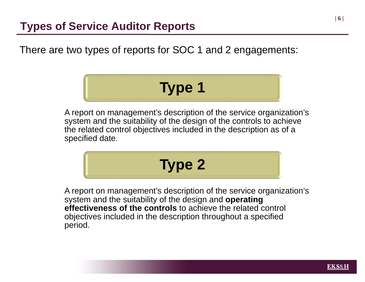There are two types of reports for SOC 1 and 2 engagements:

# **Type 1**

A report on management's description of the service organization's system and the suitability of the design of the controls to achieve the related control objectives included in the description as of a specified date.

# **Type 2**

A report on management's description of the service organization's system and the suitability of the design and **operating effectiveness of the controls** to achieve the related control objectives included in the description throughout a specified period.

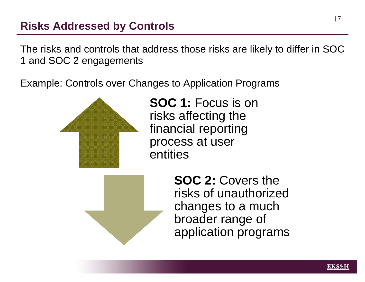### **Risks Addressed by Controls**

The risks and controls that address those risks are likely to differ in SOC 1 and SOC 2 engagements

Example: Controls over Changes to Application Programs



**SOC 1:** Focus is on risks affecting the financial reporting process at user entities



**SOC 2:** Covers the risks of unauthorized changes to a much broader range of application programs

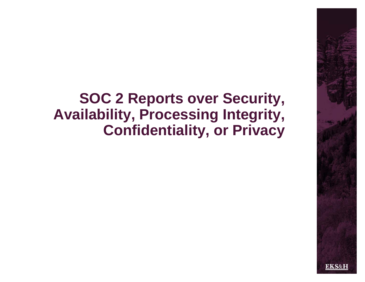## **SOC 2 Reports over Security, Availability, Processing Integrity, Confidentiality, or Privacy**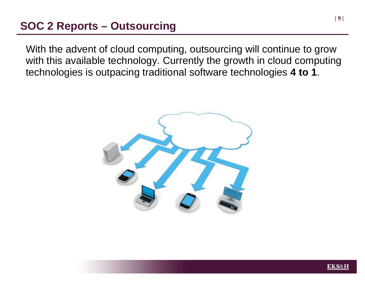### **SOC 2 Reports – Outsourcing**

With the advent of cloud computing, outsourcing will continue to grow with this available technology. Currently the growth in cloud computing technologies is outpacing traditional software technologies **4 to 1**.





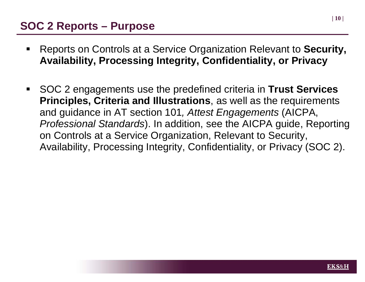#### **SOC 2 Reports – Purpose**

- ٠ Reports on Controls at a Service Organization Relevant to **Security, Availability, Processing Integrity, Confidentiality, or Privacy**
- $\blacksquare$  SOC 2 engagements use the predefined criteria in **Trust Services Principles, Criteria and Illustrations**, as well as the requirements and guidance in AT section 101*, Attest Engagements* (AICPA, *Professional Standards*). In addition, see the AICPA guide, Reporting on Controls at a Service Organization, Relevant to Security, Availability, Processing Integrity, Confidentiality, or Privacy (SOC 2).

**| 10 |**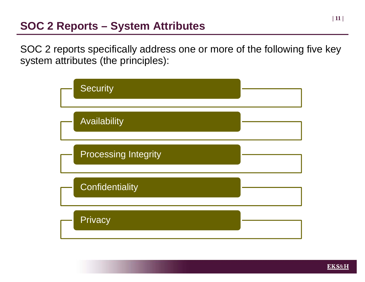#### **SOC 2 Reports – System Attributes**

SOC 2 reports specifically address one or more of the following five key system attributes (the principles):





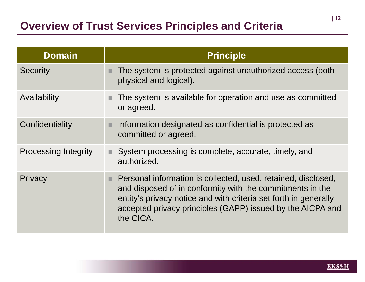| <b>Domain</b>               | <b>Principle</b>                                                                                                                                                                                                                                                                |
|-----------------------------|---------------------------------------------------------------------------------------------------------------------------------------------------------------------------------------------------------------------------------------------------------------------------------|
| <b>Security</b>             | The system is protected against unauthorized access (both<br>physical and logical).                                                                                                                                                                                             |
| Availability                | The system is available for operation and use as committed<br>or agreed.                                                                                                                                                                                                        |
| Confidentiality             | Information designated as confidential is protected as<br>ш<br>committed or agreed.                                                                                                                                                                                             |
| <b>Processing Integrity</b> | System processing is complete, accurate, timely, and<br>authorized.                                                                                                                                                                                                             |
| Privacy                     | Personal information is collected, used, retained, disclosed,<br>ш.<br>and disposed of in conformity with the commitments in the<br>entity's privacy notice and with criteria set forth in generally<br>accepted privacy principles (GAPP) issued by the AICPA and<br>the CICA. |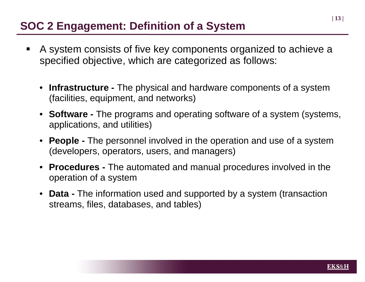### **SOC 2 Engagement: Definition of a System**

- $\blacksquare$  A system consists of five key components organized to achieve a specified objective, which are categorized as follows:
	- **Infrastructure -** The physical and hardware components of a system (facilities, equipment, and networks)
	- **Software -** The programs and operating software of a system (systems, applications, and utilities)
	- **People -** The personnel involved in the operation and use of a system (developers, operators, users, and managers)
	- • **Procedures -** The automated and manual procedures involved in the operation of a system
	- **Data -** The information used and supported by a system (transaction streams, files, databases, and tables)

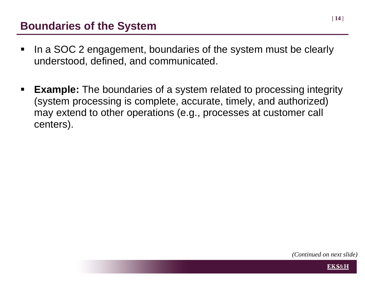#### **Boundaries of the System**

- $\blacksquare$  In a SOC 2 engagement, boundaries of the system must be clearly understood, defined, and communicated.
- $\blacksquare$  **Example:** The boundaries of a system related to processing integrity (system processing is complete, accurate, timely, and authorized) may extend to other operations (e.g., processes at customer call centers).

*(Continued on next slide)*

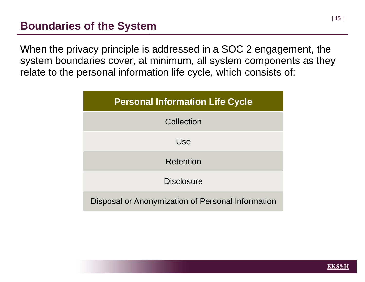When the privacy principle is addressed in a SOC 2 engagement, the system boundaries cover, at minimum, all system components as they relate to the personal information life cycle, which consists of:



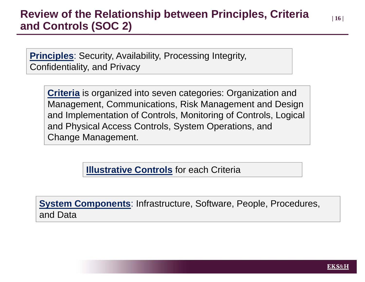#### **Review of the Relationship between Principles, Criteria | 16 <sup>|</sup> and Controls (SOC 2)**

**Principles**: Security, Availability, Processing Integrity, Confidentiality, and Privacy

**Criteria** is organized into seven categories: Organization and Management, Communications, Risk Management and Design and Implementation of Controls, Monitoring of Controls, Logical and Physical Access Controls, System Operations, and Change Management.

**Illustrative Controls** for each Criteria

**System Components**: Infrastructure, Software, People, Procedures, and Data



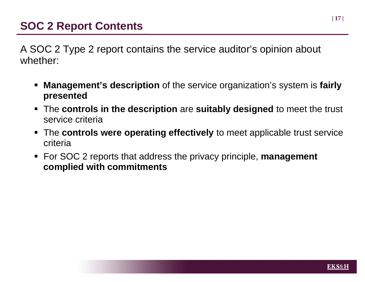A SOC 2 Type 2 report contains the service auditor's opinion about whether:

- ш **Management's description** of the service organization's system is **fairly presented**
- The **controls in the description** are **suitably designed** to meet the trust service criteria
- The **controls were operating effectively** to meet applicable trust service criteria
- For SOC 2 reports that address the privacy principle, **management complied with commitments**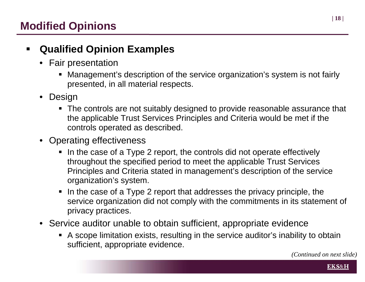#### $\blacksquare$ **Qualified Opinion Examples**

- Fair presentation
	- Management's description of the service organization's system is not fairly presented, in all material respects.
- $\bullet$  Design
	- The controls are not suitably designed to provide reasonable assurance that the applicable Trust Services Principles and Criteria would be met if the controls operated as described.
- • Operating effectiveness
	- In the case of a Type 2 report, the controls did not operate effectively throughout the specified period to meet the applicable Trust Services Principles and Criteria stated in management's description of the service organization's system.
	- In the case of a Type 2 report that addresses the privacy principle, the service organization did not comply with the commitments in its statement of privacy practices.
- Service auditor unable to obtain sufficient, appropriate evidence
	- A scope limitation exists, resulting in the service auditor's inability to obtain sufficient, appropriate evidence.



**EKS&H**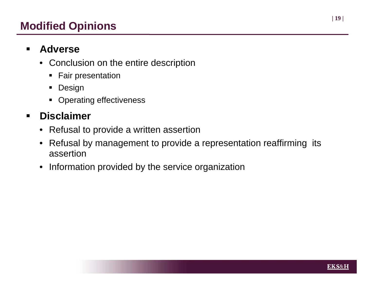### **Modified Opinions**

#### $\blacksquare$ **Adverse**

- Conclusion on the entire description
	- **Fair presentation**
	- **•** Design
	- **Operating effectiveness**

#### $\blacksquare$ **Disclaimer**

- Refusal to provide a written assertion
- $\bullet$  Refusal by management to provide a representation reaffirming its assertion
- Information provided by the service organization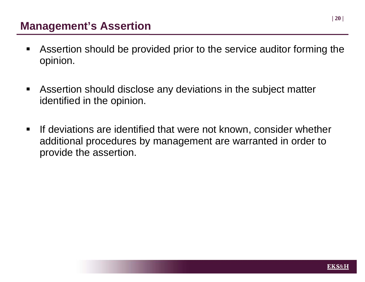#### **Management's Assertion**

- $\blacksquare$  Assertion should be provided prior to the service auditor forming the opinion.
- $\blacksquare$  Assertion should disclose any deviations in the subject matter identified in the opinion.
- $\blacksquare$  If deviations are identified that were not known, consider whether additional procedures by management are warranted in order to provide the assertion.

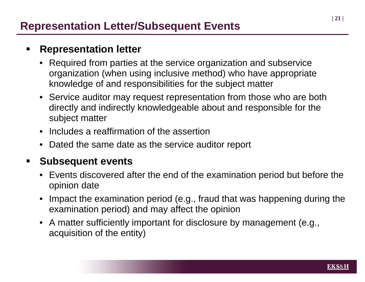#### $\blacksquare$ **Representation letter**

- • Required from parties at the service organization and subservice organization (when using inclusive method) who have appropriate knowledge of and responsibilities for the subject matter
- Service auditor may request representation from those who are both directly and indirectly knowledgeable about and responsible for the subject matter
- •Includes a reaffirmation of the assertion
- Dated the same date as the service auditor report

#### $\blacksquare$ **Subsequent events**

- Events discovered after the end of the examination period but before the opinion date
- • Impact the examination period (e.g., fraud that was happening during the examination period) and may affect the opinion
- A matter sufficiently important for disclosure by management (e.g., acquisition of the entity)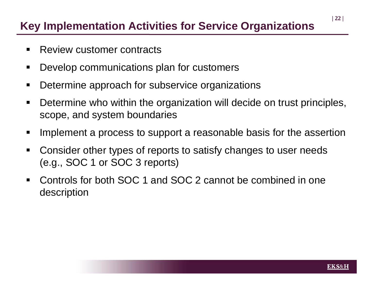## **Key Implementation Activities for Service Organizations**

- $\blacksquare$ Review customer contracts
- $\blacksquare$ Develop communications plan for customers
- $\blacksquare$ Determine approach for subservice organizations
- $\blacksquare$  Determine who within the organization will decide on trust principles, scope, and system boundaries
- $\blacksquare$ Implement a process to support a reasonable basis for the assertion
- $\blacksquare$  Consider other types of reports to satisfy changes to user needs (e.g., SOC 1 or SOC 3 reports)
- $\blacksquare$  Controls for both SOC 1 and SOC 2 cannot be combined in one description

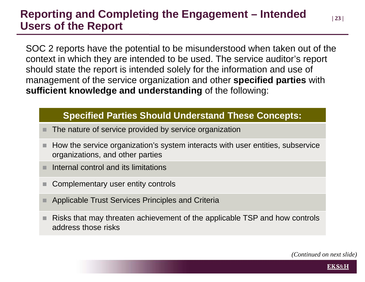### **Reporting and Completing the Engagement – Intended | 23 <sup>|</sup> Users of the Report**

SOC 2 reports have the potential to be misunderstood when taken out of the context in which they are intended to be used. The service auditor's report should state the report is intended solely for the information and use of management of the service organization and other **specified parties** with **sufficient knowledge and understanding** of the following:

#### **Specified Parties Should Understand These Concepts:**

- The nature of service provided by service organization
- How the service organization's system interacts with user entities, subservice organizations, and other parties
- Internal control and its limitations
- Complementary user entity controls
- Applicable Trust Services Principles and Criteria
- Risks that may threaten achievement of the applicable TSP and how controls address those risks

*(Continued on next slide)*

**EKS&H**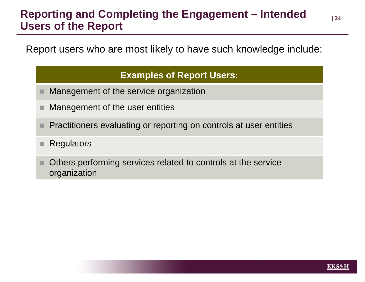#### **Reporting and Completing the Engagement – Intended | 24 <sup>|</sup> Users of the Report**

Report users who are most likely to have such knowledge include:

#### **Examples of Report Users:**

- Management of the service organization
- Management of the user entities
- Practitioners evaluating or reporting on controls at user entities
- **Regulators**
- Others performing services related to controls at the service organization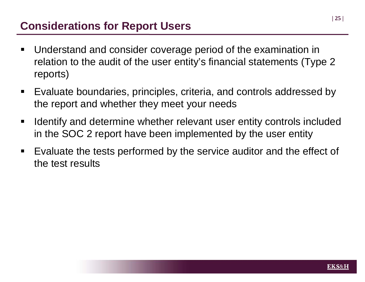### **Considerations for Report Users**

- $\blacksquare$  Understand and consider coverage period of the examination in relation to the audit of the user entity's financial statements (Type 2 reports)
- $\blacksquare$  Evaluate boundaries, principles, criteria, and controls addressed by the report and whether they meet your needs
- $\blacksquare$  Identify and determine whether relevant user entity controls included in the SOC 2 report have been implemented by the user entity
- $\blacksquare$  Evaluate the tests performed by the service auditor and the effect of the test results

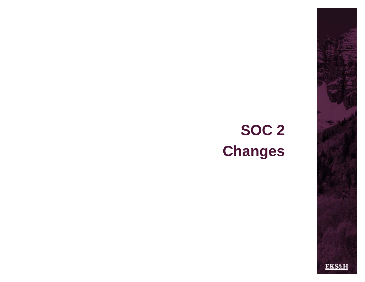# **SOC 2 Changes**

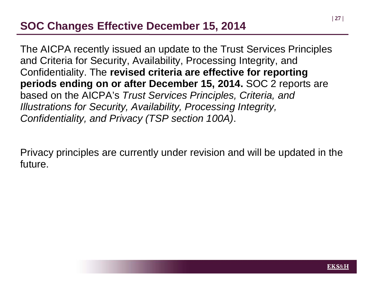#### **SOC Changes Effective December 15, 2014**

The AICPA recently issued an update to the Trust Services Principles and Criteria for Security, Availability, Processing Integrity, and Confidentiality. The **revised criteria are effective for reporting periods ending on or after December 15, 2014.** SOC 2 reports are based on the AICPA's *Trust Services Principles, Criteria, and Illustrations for Security, Availability, Processing Integrity, Confidentiality, and Privacy (TSP section 100A)*.

Privacy principles are currently under revision and will be updated in the future.

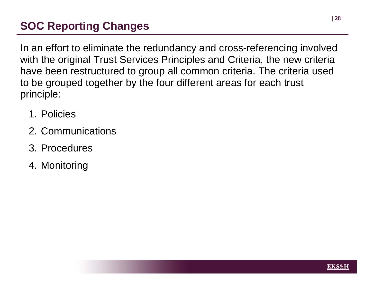## **SOC Reporting Changes**

In an effort to eliminate the redundancy and cross-referencing involved with the original Trust Services Principles and Criteria, the new criteria have been restructured to group all common criteria. The criteria used to be grouped together by the four different areas for each trust principle:

- 1. Policies
- 2. Communications
- 3. Procedures
- 4. Monitoring

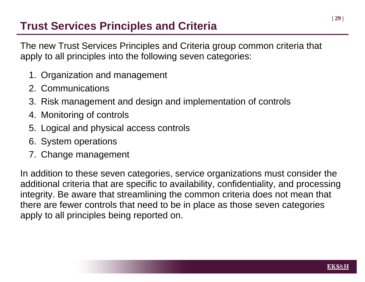#### **Trust Services Principles and Criteria**

The new Trust Services Principles and Criteria group common criteria that apply to all principles into the following seven categories:

- 1. Organization and management
- 2. Communications
- 3. Risk management and design and implementation of controls
- 4. Monitoring of controls
- 5. Logical and physical access controls
- 6. System operations
- 7. Change management

In addition to these seven categories, service organizations must consider the additional criteria that are specific to availability, confidentiality, and processing integrity. Be aware that streamlining the common criteria does not mean that there are fewer controls that need to be in place as those seven categories apply to all principles being reported on.

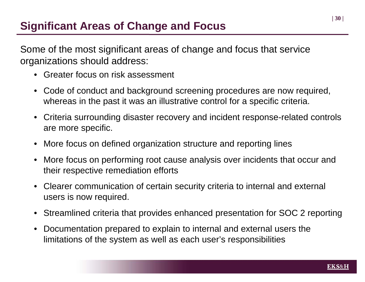Some of the most significant areas of change and focus that service organizations should address:

- Greater focus on risk assessment
- Code of conduct and background screening procedures are now required, whereas in the past it was an illustrative control for a specific criteria.
- Criteria surrounding disaster recovery and incident response-related controls are more specific.
- More focus on defined organization structure and reporting lines
- More focus on performing root cause analysis over incidents that occur and their respective remediation efforts
- Clearer communication of certain security criteria to internal and external users is now required.
- Streamlined criteria that provides enhanced presentation for SOC 2 reporting
- Documentation prepared to explain to internal and external users the limitations of the system as well as each user's responsibilities

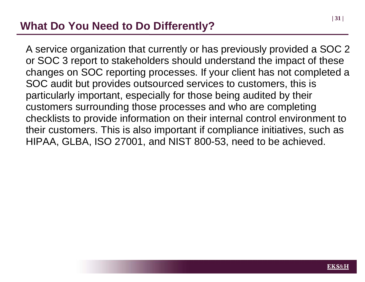### **What Do You Need to Do Differently?**

A service organization that currently or has previously provided a SOC 2 or SOC 3 report to stakeholders should understand the impact of these changes on SOC reporting processes. If your client has not completed a SOC audit but provides outsourced services to customers, this is particularly important, especially for those being audited by their customers surrounding those processes and who are completing checklists to provide information on their internal control environment to their customers. This is also important if compliance initiatives, such as HIPAA, GLBA, ISO 27001, and NIST 800-53, need to be achieved.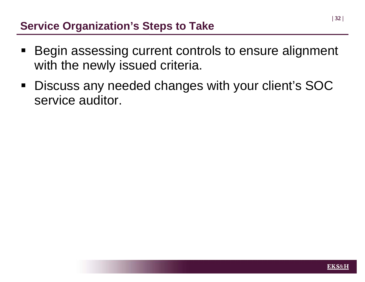### **Service Organization's Steps to Take**

- Begin assessing current controls to ensure alignment with the newly issued criteria.
- $\blacksquare$  Discuss any needed changes with your client's SOC service auditor.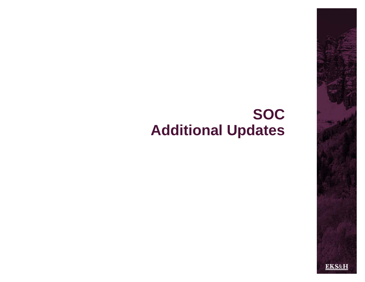## **SOC Additional Updates**

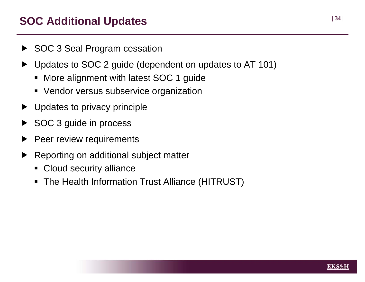#### **| 34 <sup>|</sup> SOC Additional Updates**

- ▶ SOC 3 Seal Program cessation
- $\blacktriangleright$  Updates to SOC 2 guide (dependent on updates to AT 101)
	- **More alignment with latest SOC 1 guide**
	- Vendor versus subservice organization
- ▶ Updates to privacy principle
- SOC 3 guide in process
- $\blacktriangleright$ Peer review requirements
- $\blacktriangleright$  Reporting on additional subject matter
	- **Cloud security alliance**
	- The Health Information Trust Alliance (HITRUST)

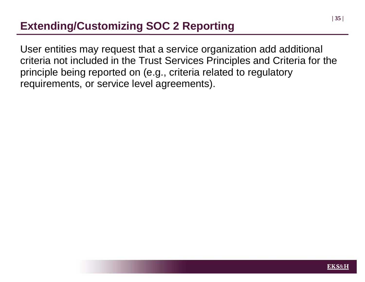## **Extending/Customizing SOC 2 Reporting**

User entities may request that a service organization add additional criteria not included in the Trust Services Principles and Criteria for the principle being reported on (e.g., criteria related to regulatory requirements, or service level agreements).

**| 35 |**

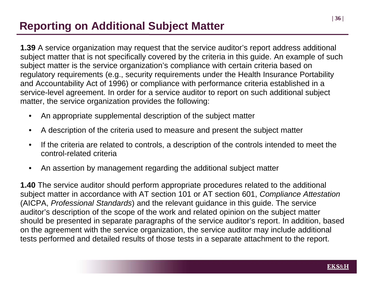## **Reporting on Additional Subject Matter**

**1.39** A service organization may request that the service auditor's report address additional subject matter that is not specifically covered by the criteria in this guide. An example of such subject matter is the service organization's compliance with certain criteria based on regulatory requirements (e.g., security requirements under the Health Insurance Portability and Accountability Act of 1996) or compliance with performance criteria established in a service-level agreement. In order for a service auditor to report on such additional subject matter, the service organization provides the following:

- An appropriate supplemental description of the subject matter
- A description of the criteria used to measure and present the subject matter
- If the criteria are related to controls, a description of the controls intended to meet the control-related criteria
- An assertion by management regarding the additional subject matter

**1.40** The service auditor should perform appropriate procedures related to the additional subject matter in accordance with AT section 101 or AT section 601, *Compliance Attestation*  (AICPA, *Professional Standards*) and the relevant guidance in this guide. The service auditor's description of the scope of the work and related opinion on the subject matter should be presented in separate paragraphs of the service auditor's report. In addition, based on the agreement with the service organization, the service auditor may include additional tests performed and detailed results of those tests in a separate attachment to the report.

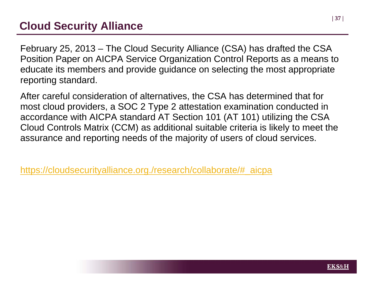#### **Cloud Security Alliance**

February 25, 2013 – The Cloud Security Alliance (CSA) has drafted the CSA Position Paper on AICPA Service Organization Control Reports as a means to educate its members and provide guidance on selecting the most appropriate reporting standard.

After careful consideration of alternatives, the CSA has determined that for most cloud providers, a SOC 2 Type 2 attestation examination conducted in accordance with AICPA standard AT Section 101 (AT 101) utilizing the CSA Cloud Controls Matrix (CCM) as additional suitable criteria is likely to meet the assurance and reporting needs of the majority of users of cloud services.

https://cloudsecurityalliance.org./research/collaborate/#\_aicpa

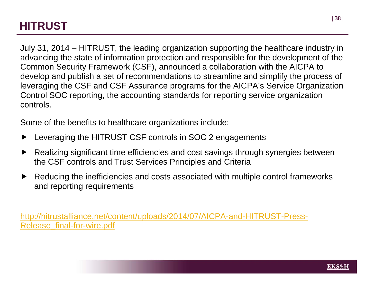### **HITRUST**

July 31, 2014 – HITRUST, the leading organization supporting the healthcare industry in advancing the state of information protection and responsible for the development of the Common Security Framework (CSF), announced a collaboration with the AICPA to develop and publish a set of recommendations to streamline and simplify the process of leveraging the CSF and CSF Assurance programs for the AICPA's Service Organization Control SOC reporting, the accounting standards for reporting service organization controls.

Some of the benefits to healthcare organizations include:

- $\blacktriangleright$ Leveraging the HITRUST CSF controls in SOC 2 engagements
- $\blacktriangleright$  Realizing significant time efficiencies and cost savings through synergies between the CSF controls and Trust Services Principles and Criteria
- $\blacktriangleright$  Reducing the inefficiencies and costs associated with multiple control frameworks and reporting requirements

http://hitrustalliance.net/content/uploads/2014/07/AICPA-and-HITRUST-Press-Release\_final-for-wire.pdf

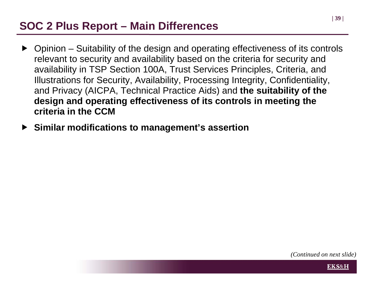### **SOC 2 Plus Report – Main Differences**

- ▶ Opinion Suitability of the design and operating effectiveness of its controls relevant to security and availability based on the criteria for security and availability in TSP Section 100A, Trust Services Principles, Criteria, and Illustrations for Security, Availability, Processing Integrity, Confidentiality, and Privacy (AICPA, Technical Practice Aids) and **the suitability of the design and operating effectiveness of its controls in meeting the criteria in the CCM**
- **Similar modifications to management's assertion**

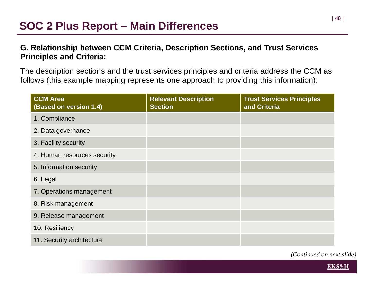#### **G. Relationship between CCM Criteria, Description Sections, and Trust Services Principles and Criteria:**

The description sections and the trust services principles and criteria address the CCM as follows (this example mapping represents one approach to providing this information):

| <b>CCM Area</b><br>(Based on version 1.4) | <b>Relevant Description</b><br><b>Section</b> | <b>Trust Services Principles</b><br>and Criteria |
|-------------------------------------------|-----------------------------------------------|--------------------------------------------------|
| 1. Compliance                             |                                               |                                                  |
| 2. Data governance                        |                                               |                                                  |
| 3. Facility security                      |                                               |                                                  |
| 4. Human resources security               |                                               |                                                  |
| 5. Information security                   |                                               |                                                  |
| 6. Legal                                  |                                               |                                                  |
| 7. Operations management                  |                                               |                                                  |
| 8. Risk management                        |                                               |                                                  |
| 9. Release management                     |                                               |                                                  |
| 10. Resiliency                            |                                               |                                                  |
| 11. Security architecture                 |                                               |                                                  |

*(Continued on next slide)*

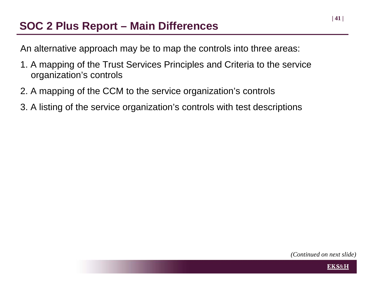#### **SOC 2 Plus Report – Main Differences**

An alternative approach may be to map the controls into three areas:

- 1. A mapping of the Trust Services Principles and Criteria to the service organization's controls
- 2. A mapping of the CCM to the service organization's controls
- 3. A listing of the service organization's controls with test descriptions

**| 41 |**



**EKS&H**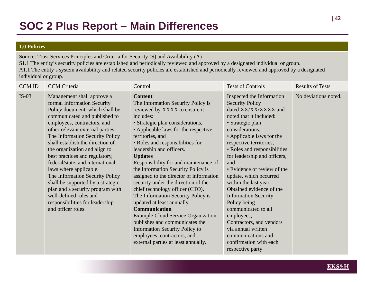#### **1.0 Policies**

Source: Trust Services Principles and Criteria for Security (S) and Availability (A)

S1.1 The entity's security policies are established and periodically reviewed and approved by a designated individual or group. A1.1 The entity's system availability and related security policies are established and periodically reviewed and approved by a designated individual or group.

| <b>CCM ID</b> | <b>CCM</b> Criteria                                                                                                                                                                                                                                                                                                                                                                                                                                                                                                                                                                                     | Control                                                                                                                                                                                                                                                                                                                                                                                                                                                                                                                                                                                                                                                                                                                                                                            | <b>Tests of Controls</b>                                                                                                                                                                                                                                                                                                                                                                                                                                                                                                                                                                             | <b>Results of Tests</b> |
|---------------|---------------------------------------------------------------------------------------------------------------------------------------------------------------------------------------------------------------------------------------------------------------------------------------------------------------------------------------------------------------------------------------------------------------------------------------------------------------------------------------------------------------------------------------------------------------------------------------------------------|------------------------------------------------------------------------------------------------------------------------------------------------------------------------------------------------------------------------------------------------------------------------------------------------------------------------------------------------------------------------------------------------------------------------------------------------------------------------------------------------------------------------------------------------------------------------------------------------------------------------------------------------------------------------------------------------------------------------------------------------------------------------------------|------------------------------------------------------------------------------------------------------------------------------------------------------------------------------------------------------------------------------------------------------------------------------------------------------------------------------------------------------------------------------------------------------------------------------------------------------------------------------------------------------------------------------------------------------------------------------------------------------|-------------------------|
| $IS-03$       | Management shall approve a<br>formal Information Security<br>Policy document, which shall be<br>communicated and published to<br>employees, contractors, and<br>other relevant external parties.<br>The Information Security Policy<br>shall establish the direction of<br>the organization and align to<br>best practices and regulatory,<br>federal/state, and international<br>laws where applicable.<br>The Information Security Policy<br>shall be supported by a strategic<br>plan and a security program with<br>well-defined roles and<br>responsibilities for leadership<br>and officer roles. | <b>Content</b><br>The Information Security Policy is<br>reviewed by XXXX to ensure it<br>includes:<br>• Strategic plan considerations,<br>• Applicable laws for the respective<br>territories, and<br>• Roles and responsibilities for<br>leadership and officers.<br><b>Updates</b><br>Responsibility for and maintenance of<br>the Information Security Policy is<br>assigned to the director of information<br>security under the direction of the<br>chief technology officer (CTO).<br>The Information Security Policy is<br>updated at least annually.<br><b>Communication</b><br><b>Example Cloud Service Organization</b><br>publishes and communicates the<br><b>Information Security Policy to</b><br>employees, contractors, and<br>external parties at least annually. | Inspected the Information<br><b>Security Policy</b><br>dated XX/XX/XXXX and<br>noted that it included:<br>• Strategic plan<br>considerations,<br>• Applicable laws for the<br>respective territories,<br>• Roles and responsibilities<br>for leadership and officers,<br>and<br>• Evidence of review of the<br>update, which occurred<br>within the last year.<br>Obtained evidence of the<br><b>Information Security</b><br>Policy being<br>communicated to all<br>employees,<br>Contractors, and vendors<br>via annual written<br>communications and<br>confirmation with each<br>respective party | No deviations noted.    |